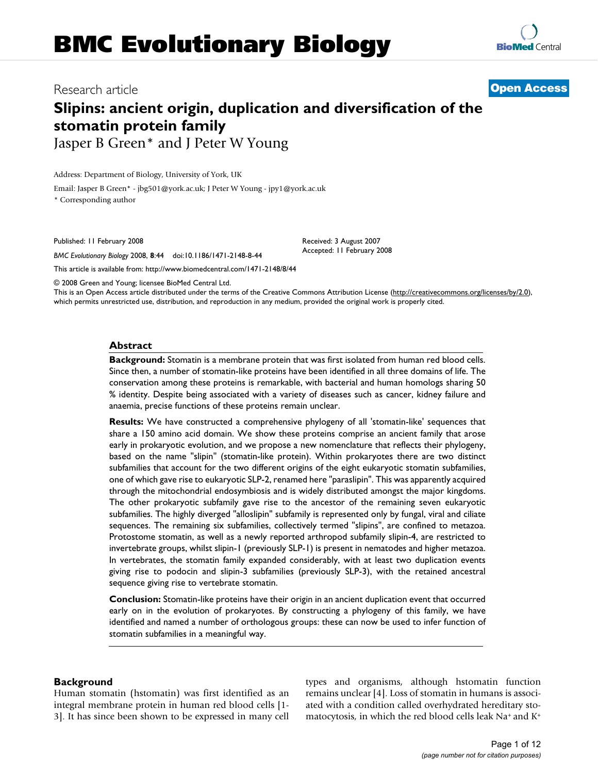## Research article **[Open Access](http://www.biomedcentral.com/info/about/charter/)**

# **Slipins: ancient origin, duplication and diversification of the stomatin protein family** Jasper B Green\* and J Peter W Young

Address: Department of Biology, University of York, UK

Email: Jasper B Green\* - jbg501@york.ac.uk; J Peter W Young - jpy1@york.ac.uk

\* Corresponding author

Published: 11 February 2008

*BMC Evolutionary Biology* 2008, **8**:44 doi:10.1186/1471-2148-8-44

[This article is available from: http://www.biomedcentral.com/1471-2148/8/44](http://www.biomedcentral.com/1471-2148/8/44)

© 2008 Green and Young; licensee BioMed Central Ltd.

This is an Open Access article distributed under the terms of the Creative Commons Attribution License [\(http://creativecommons.org/licenses/by/2.0\)](http://creativecommons.org/licenses/by/2.0), which permits unrestricted use, distribution, and reproduction in any medium, provided the original work is properly cited.

Received: 3 August 2007 Accepted: 11 February 2008

#### **Abstract**

**Background:** Stomatin is a membrane protein that was first isolated from human red blood cells. Since then, a number of stomatin-like proteins have been identified in all three domains of life. The conservation among these proteins is remarkable, with bacterial and human homologs sharing 50 % identity. Despite being associated with a variety of diseases such as cancer, kidney failure and anaemia, precise functions of these proteins remain unclear.

**Results:** We have constructed a comprehensive phylogeny of all 'stomatin-like' sequences that share a 150 amino acid domain. We show these proteins comprise an ancient family that arose early in prokaryotic evolution, and we propose a new nomenclature that reflects their phylogeny, based on the name "slipin" (stomatin-like protein). Within prokaryotes there are two distinct subfamilies that account for the two different origins of the eight eukaryotic stomatin subfamilies, one of which gave rise to eukaryotic SLP-2, renamed here "paraslipin". This was apparently acquired through the mitochondrial endosymbiosis and is widely distributed amongst the major kingdoms. The other prokaryotic subfamily gave rise to the ancestor of the remaining seven eukaryotic subfamilies. The highly diverged "alloslipin" subfamily is represented only by fungal, viral and ciliate sequences. The remaining six subfamilies, collectively termed "slipins", are confined to metazoa. Protostome stomatin, as well as a newly reported arthropod subfamily slipin-4, are restricted to invertebrate groups, whilst slipin-1 (previously SLP-1) is present in nematodes and higher metazoa. In vertebrates, the stomatin family expanded considerably, with at least two duplication events giving rise to podocin and slipin-3 subfamilies (previously SLP-3), with the retained ancestral sequence giving rise to vertebrate stomatin.

**Conclusion:** Stomatin-like proteins have their origin in an ancient duplication event that occurred early on in the evolution of prokaryotes. By constructing a phylogeny of this family, we have identified and named a number of orthologous groups: these can now be used to infer function of stomatin subfamilies in a meaningful way.

## **Background**

Human stomatin (hstomatin) was first identified as an integral membrane protein in human red blood cells [1- 3]. It has since been shown to be expressed in many cell types and organisms, although hstomatin function remains unclear [4]. Loss of stomatin in humans is associated with a condition called overhydrated hereditary stomatocytosis, in which the red blood cells leak Na+ and K+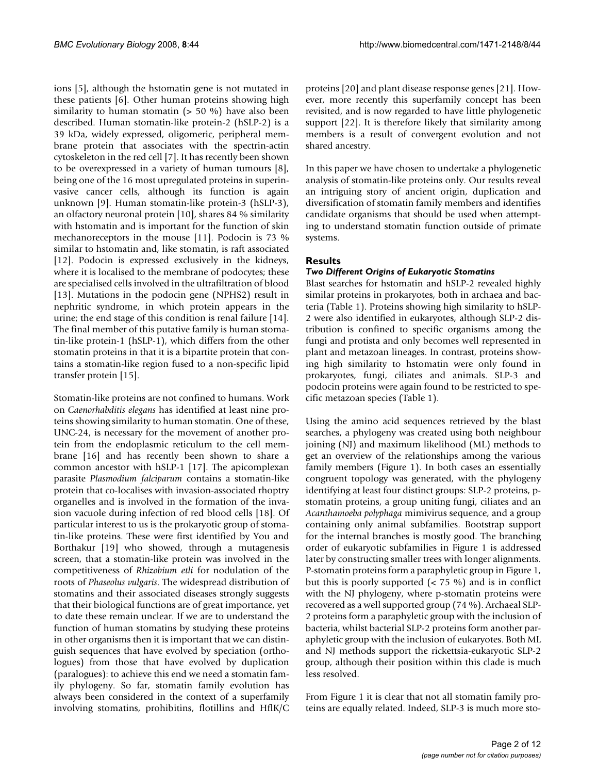ions [5], although the hstomatin gene is not mutated in these patients [6]. Other human proteins showing high similarity to human stomatin  $(> 50 \%)$  have also been described. Human stomatin-like protein-2 (hSLP-2) is a 39 kDa, widely expressed, oligomeric, peripheral membrane protein that associates with the spectrin-actin cytoskeleton in the red cell [7]. It has recently been shown to be overexpressed in a variety of human tumours [8], being one of the 16 most upregulated proteins in superinvasive cancer cells, although its function is again unknown [9]. Human stomatin-like protein-3 (hSLP-3), an olfactory neuronal protein [10], shares 84 % similarity with hstomatin and is important for the function of skin mechanoreceptors in the mouse [11]. Podocin is 73 % similar to hstomatin and, like stomatin, is raft associated [12]. Podocin is expressed exclusively in the kidneys, where it is localised to the membrane of podocytes; these are specialised cells involved in the ultrafiltration of blood [13]. Mutations in the podocin gene (NPHS2) result in nephritic syndrome, in which protein appears in the urine; the end stage of this condition is renal failure [14]. The final member of this putative family is human stomatin-like protein-1 (hSLP-1), which differs from the other stomatin proteins in that it is a bipartite protein that contains a stomatin-like region fused to a non-specific lipid transfer protein [15].

Stomatin-like proteins are not confined to humans. Work on *Caenorhabditis elegans* has identified at least nine proteins showing similarity to human stomatin. One of these, UNC-24, is necessary for the movement of another protein from the endoplasmic reticulum to the cell membrane [16] and has recently been shown to share a common ancestor with hSLP-1 [17]. The apicomplexan parasite *Plasmodium falciparum* contains a stomatin-like protein that co-localises with invasion-associated rhoptry organelles and is involved in the formation of the invasion vacuole during infection of red blood cells [18]. Of particular interest to us is the prokaryotic group of stomatin-like proteins. These were first identified by You and Borthakur [\[19\]](#page-11-0) who showed, through a mutagenesis screen, that a stomatin-like protein was involved in the competitiveness of *Rhizobium etli* for nodulation of the roots of *Phaseolus vulgaris*. The widespread distribution of stomatins and their associated diseases strongly suggests that their biological functions are of great importance, yet to date these remain unclear. If we are to understand the function of human stomatins by studying these proteins in other organisms then it is important that we can distinguish sequences that have evolved by speciation (orthologues) from those that have evolved by duplication (paralogues): to achieve this end we need a stomatin family phylogeny. So far, stomatin family evolution has always been considered in the context of a superfamily involving stomatins, prohibitins, flotillins and HflK/C proteins [20] and plant disease response genes [21]. However, more recently this superfamily concept has been revisited, and is now regarded to have little phylogenetic support [22]. It is therefore likely that similarity among members is a result of convergent evolution and not shared ancestry.

In this paper we have chosen to undertake a phylogenetic analysis of stomatin-like proteins only. Our results reveal an intriguing story of ancient origin, duplication and diversification of stomatin family members and identifies candidate organisms that should be used when attempting to understand stomatin function outside of primate systems.

## **Results**

## *Two Different Origins of Eukaryotic Stomatins*

Blast searches for hstomatin and hSLP-2 revealed highly similar proteins in prokaryotes, both in archaea and bacteria (Table 1). Proteins showing high similarity to hSLP-2 were also identified in eukaryotes, although SLP-2 distribution is confined to specific organisms among the fungi and protista and only becomes well represented in plant and metazoan lineages. In contrast, proteins showing high similarity to hstomatin were only found in prokaryotes, fungi, ciliates and animals. SLP-3 and podocin proteins were again found to be restricted to specific metazoan species (Table 1).

Using the amino acid sequences retrieved by the blast searches, a phylogeny was created using both neighbour joining (NJ) and maximum likelihood (ML) methods to get an overview of the relationships among the various family members (Figure 1). In both cases an essentially congruent topology was generated, with the phylogeny identifying at least four distinct groups: SLP-2 proteins, pstomatin proteins, a group uniting fungi, ciliates and an *Acanthamoeba polyphaga* mimivirus sequence, and a group containing only animal subfamilies. Bootstrap support for the internal branches is mostly good. The branching order of eukaryotic subfamilies in Figure 1 is addressed later by constructing smaller trees with longer alignments. P-stomatin proteins form a paraphyletic group in Figure 1, but this is poorly supported  $( $75\%$ ) and is in conflict$ with the NJ phylogeny, where p-stomatin proteins were recovered as a well supported group (74 %). Archaeal SLP-2 proteins form a paraphyletic group with the inclusion of bacteria, whilst bacterial SLP-2 proteins form another paraphyletic group with the inclusion of eukaryotes. Both ML and NJ methods support the rickettsia-eukaryotic SLP-2 group, although their position within this clade is much less resolved.

From Figure 1 it is clear that not all stomatin family proteins are equally related. Indeed, SLP-3 is much more sto-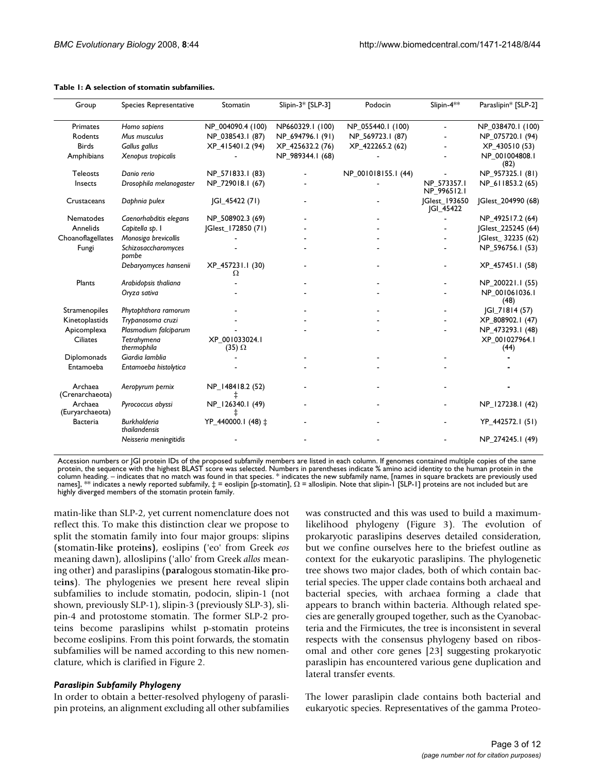| Group                      | Species Representative               | Stomatin                          | Slipin-3* [SLP-3] | Podocin             | Slipin-4 <sup>**</sup>                   | Paraslipin* [SLP-2]    |
|----------------------------|--------------------------------------|-----------------------------------|-------------------|---------------------|------------------------------------------|------------------------|
| Primates                   | Homo sapiens                         | NP_004090.4 (100)                 | NP660329.1 (100)  | NP_055440.1 (100)   |                                          | NP_038470.1 (100)      |
| Rodents                    | Mus musculus                         | NP_038543.1 (87)                  | NP_694796.1 (91)  | NP_569723.1 (87)    |                                          | NP_075720.1 (94)       |
| <b>Birds</b>               | Gallus gallus                        | XP_415401.2 (94)                  | XP_425632.2 (76)  | XP_422265.2 (62)    |                                          | XP_430510 (53)         |
| Amphibians                 | Xenopus tropicalis                   |                                   | NP_989344.1 (68)  |                     |                                          | NP 001004808.1<br>(82) |
| <b>Teleosts</b>            | Danio rerio                          | NP 571833.1 (83)                  |                   | NP_001018155.1 (44) |                                          | NP 957325.1 (81)       |
| Insects                    | Drosophila melanogaster              | NP_729018.1 (67)                  |                   |                     | NP 573357.1<br>NP_996512.1               | NP_611853.2 (65)       |
| Crustaceans                | Daphnia pulex                        | [GI_45422 (71)                    |                   |                     | <b>JGlest_193650</b><br><b>JGI_45422</b> | Glest_204990 (68)      |
| Nematodes                  | Caenorhabditis elegans               | NP 508902.3 (69)                  |                   |                     |                                          | NP_492517.2 (64)       |
| Annelids                   | Capitella sp. I                      | Glest_172850 (71)                 |                   |                     |                                          | JGlest_225245 (64)     |
| Choanoflagellates          | Monosiga brevicollis                 |                                   |                   |                     |                                          | Glest_32235 (62)       |
| Fungi                      | Schizosaccharomyces<br>pombe         |                                   |                   |                     |                                          | NP_596756.1 (53)       |
|                            | Debaryomyces hansenii                | XP_457231.1 (30)<br>Ω             |                   |                     |                                          | XP_457451.1 (58)       |
| Plants                     | Arabidopsis thaliana                 |                                   |                   |                     |                                          | NP_200221.1 (55)       |
|                            | Oryza sativa                         |                                   |                   |                     |                                          | NP 001061036.1<br>(48) |
| Stramenopiles              | Phytophthora ramorum                 |                                   |                   |                     |                                          | <b>IGI 71814 (57)</b>  |
| Kinetoplastids             | Trybanosoma cruzi                    |                                   |                   |                     |                                          | XP_808902.1 (47)       |
| Apicomplexa                | Plasmodium falciparum                |                                   |                   |                     |                                          | NP_473293.1 (48)       |
| <b>Ciliates</b>            | Tetrahymena<br>thermophila           | XP 001033024.1<br>$(35)$ $\Omega$ |                   |                     |                                          | XP_001027964.1<br>(44) |
| Diplomonads                | Giardia lamblia                      |                                   |                   |                     |                                          |                        |
| Entamoeba                  | Entamoeba histolytica                |                                   |                   |                     |                                          |                        |
| Archaea<br>(Crenarchaeota) | Aeropyrum pernix                     | NP_148418.2 (52)                  |                   |                     |                                          |                        |
| Archaea<br>(Euryarchaeota) | Pyrococcus abyssi                    | NP_126340.1 (49)                  |                   |                     |                                          | NP_127238.1 (42)       |
| <b>Bacteria</b>            | <b>Burkholderia</b><br>thailandensis | YP_440000.1 (48) ±                |                   |                     |                                          | YP_442572.1 (51)       |
|                            | Neisseria meningitidis               |                                   |                   |                     |                                          | NP_274245.1 (49)       |

#### **Table 1: A selection of stomatin subfamilies.**

Accession numbers or JGI protein IDs of the proposed subfamily members are listed in each column. If genomes contained multiple copies of the same protein, the sequence with the highest BLAST score was selected. Numbers in parentheses indicate % amino acid identity to the human protein in the column heading. – indicates that no match was found in that species. \* indicates the new subfamily name, [names in square brackets are previously used names], \*\* indicates a newly reported subfamily,  $\ddagger$  = eoslipin [p-stomatin],  $\Omega$  = alloslipin. Note that slipin-1 [SLP-1] proteins are not included but are highly diverged members of the stomatin protein family.

matin-like than SLP-2, yet current nomenclature does not reflect this. To make this distinction clear we propose to split the stomatin family into four major groups: slipins (**s**tomatin-**li**ke **p**rote**ins)**, eoslipins ('eo' from Greek *eos* meaning dawn), alloslipins ('allo' from Greek *allos* meaning other) and paraslipins (**para**logous **s**tomatin-**li**ke **p**rote**ins**). The phylogenies we present here reveal slipin subfamilies to include stomatin, podocin, slipin-1 (not shown, previously SLP-1), slipin-3 (previously SLP-3), slipin-4 and protostome stomatin. The former SLP-2 proteins become paraslipins whilst p-stomatin proteins become eoslipins. From this point forwards, the stomatin subfamilies will be named according to this new nomenclature, which is clarified in Figure 2.

#### *Paraslipin Subfamily Phylogeny*

In order to obtain a better-resolved phylogeny of paraslipin proteins, an alignment excluding all other subfamilies was constructed and this was used to build a maximumlikelihood phylogeny (Figure 3). The evolution of prokaryotic paraslipins deserves detailed consideration, but we confine ourselves here to the briefest outline as context for the eukaryotic paraslipins. The phylogenetic tree shows two major clades, both of which contain bacterial species. The upper clade contains both archaeal and bacterial species, with archaea forming a clade that appears to branch within bacteria. Although related species are generally grouped together, such as the Cyanobacteria and the Firmicutes, the tree is inconsistent in several respects with the consensus phylogeny based on ribosomal and other core genes [23] suggesting prokaryotic paraslipin has encountered various gene duplication and lateral transfer events.

The lower paraslipin clade contains both bacterial and eukaryotic species. Representatives of the gamma Proteo-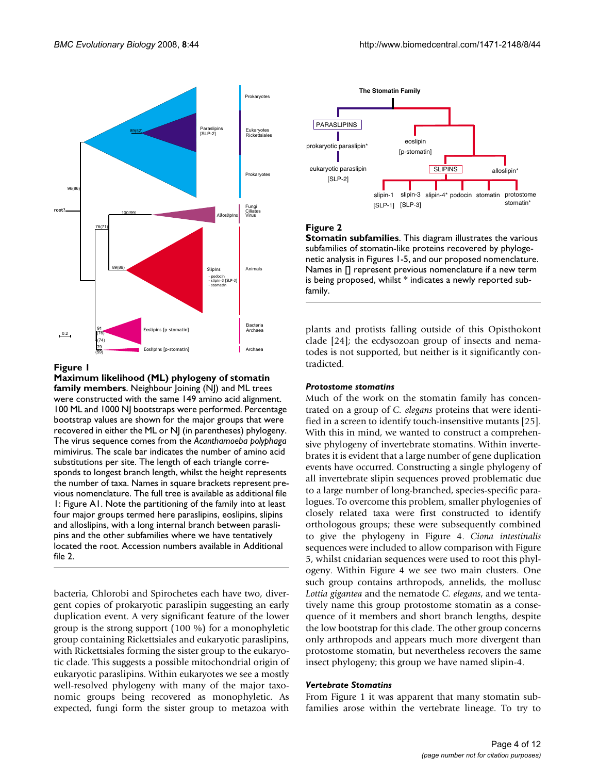

**Maximum likelihood (ML) phylogeny of stomatin family members**. Neighbour Joining (NJ) and ML trees were constructed with the same 149 amino acid alignment. 100 ML and 1000 NJ bootstraps were performed. Percentage bootstrap values are shown for the major groups that were recovered in either the ML or NJ (in parentheses) phylogeny. The virus sequence comes from the *Acanthamoeba polyphaga*  mimivirus. The scale bar indicates the number of amino acid substitutions per site. The length of each triangle corresponds to longest branch length, whilst the height represents the number of taxa. Names in square brackets represent previous nomenclature. The full tree is available as additional file 1: Figure A1. Note the partitioning of the family into at least four major groups termed here paraslipins, eoslipins, slipins and alloslipins, with a long internal branch between paraslipins and the other subfamilies where we have tentatively located the root. Accession numbers available in Additional file 2.

bacteria, Chlorobi and Spirochetes each have two, divergent copies of prokaryotic paraslipin suggesting an early duplication event. A very significant feature of the lower group is the strong support (100 %) for a monophyletic group containing Rickettsiales and eukaryotic paraslipins, with Rickettsiales forming the sister group to the eukaryotic clade. This suggests a possible mitochondrial origin of eukaryotic paraslipins. Within eukaryotes we see a mostly well-resolved phylogeny with many of the major taxonomic groups being recovered as monophyletic. As expected, fungi form the sister group to metazoa with



## **Figure 2**

**Stomatin subfamilies**. This diagram illustrates the various subfamilies of stomatin-like proteins recovered by phylogenetic analysis in Figures 1-5, and our proposed nomenclature. Names in [] represent previous nomenclature if a new term is being proposed, whilst \* indicates a newly reported subfamily.

plants and protists falling outside of this Opisthokont clade [24]; the ecdysozoan group of insects and nematodes is not supported, but neither is it significantly contradicted.

## *Protostome stomatins*

Much of the work on the stomatin family has concentrated on a group of *C. elegans* proteins that were identified in a screen to identify touch-insensitive mutants [25]. With this in mind, we wanted to construct a comprehensive phylogeny of invertebrate stomatins. Within invertebrates it is evident that a large number of gene duplication events have occurred. Constructing a single phylogeny of all invertebrate slipin sequences proved problematic due to a large number of long-branched, species-specific paralogues. To overcome this problem, smaller phylogenies of closely related taxa were first constructed to identify orthologous groups; these were subsequently combined to give the phylogeny in Figure 4. *Ciona intestinalis* sequences were included to allow comparison with Figure 5, whilst cnidarian sequences were used to root this phylogeny. Within Figure 4 we see two main clusters. One such group contains arthropods, annelids, the mollusc *Lottia gigantea* and the nematode *C. elegans*, and we tentatively name this group protostome stomatin as a consequence of it members and short branch lengths, despite the low bootstrap for this clade. The other group concerns only arthropods and appears much more divergent than protostome stomatin, but nevertheless recovers the same insect phylogeny; this group we have named slipin-4.

## *Vertebrate Stomatins*

From Figure 1 it was apparent that many stomatin subfamilies arose within the vertebrate lineage. To try to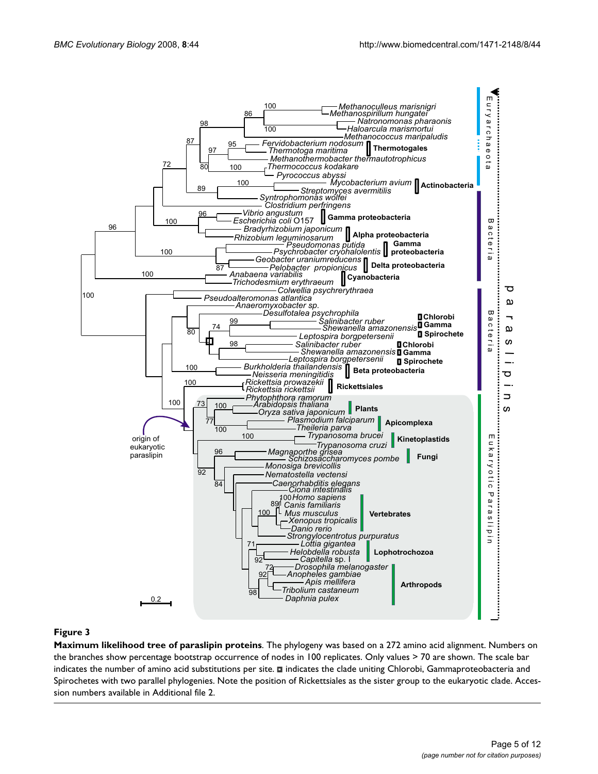

**Maximum likelihood tree of paraslipin proteins**. The phylogeny was based on a 272 amino acid alignment. Numbers on the branches show percentage bootstrap occurrence of nodes in 100 replicates. Only values > 70 are shown. The scale bar indicates the number of amino acid substitutions per site.  $\blacksquare$  indicates the clade uniting Chlorobi, Gammaproteobacteria and Spirochetes with two parallel phylogenies. Note the position of Rickettsiales as the sister group to the eukaryotic clade. Accession numbers available in Additional file 2.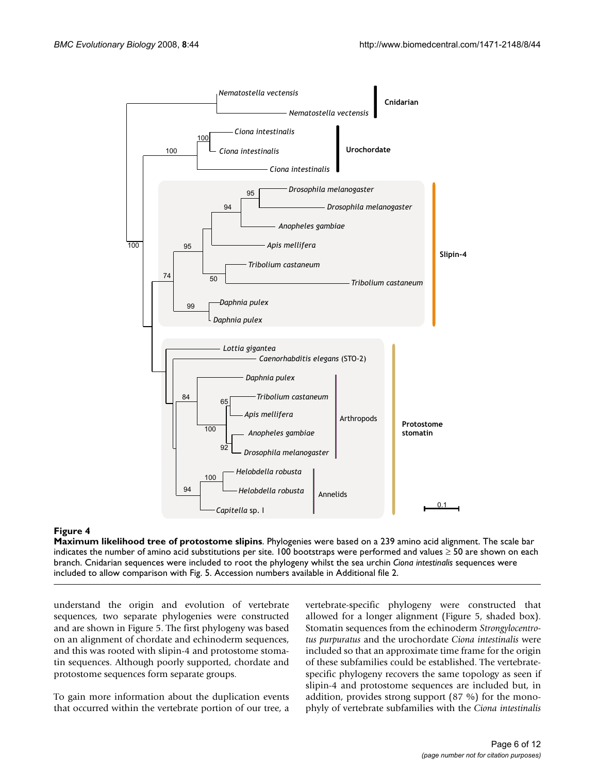

**Maximum likelihood tree of protostome slipins**. Phylogenies were based on a 239 amino acid alignment. The scale bar indicates the number of amino acid substitutions per site. 100 bootstraps were performed and values ≥ 50 are shown on each branch. Cnidarian sequences were included to root the phylogeny whilst the sea urchin *Ciona intestinalis* sequences were included to allow comparison with Fig. 5. Accession numbers available in Additional file 2.

understand the origin and evolution of vertebrate sequences, two separate phylogenies were constructed and are shown in Figure 5. The first phylogeny was based on an alignment of chordate and echinoderm sequences, and this was rooted with slipin-4 and protostome stomatin sequences. Although poorly supported, chordate and protostome sequences form separate groups.

To gain more information about the duplication events that occurred within the vertebrate portion of our tree, a

vertebrate-specific phylogeny were constructed that allowed for a longer alignment (Figure 5, shaded box). Stomatin sequences from the echinoderm *Strongylocentrotus purpuratus* and the urochordate *Ciona intestinalis* were included so that an approximate time frame for the origin of these subfamilies could be established. The vertebratespecific phylogeny recovers the same topology as seen if slipin-4 and protostome sequences are included but, in addition, provides strong support (87 %) for the monophyly of vertebrate subfamilies with the *Ciona intestinalis*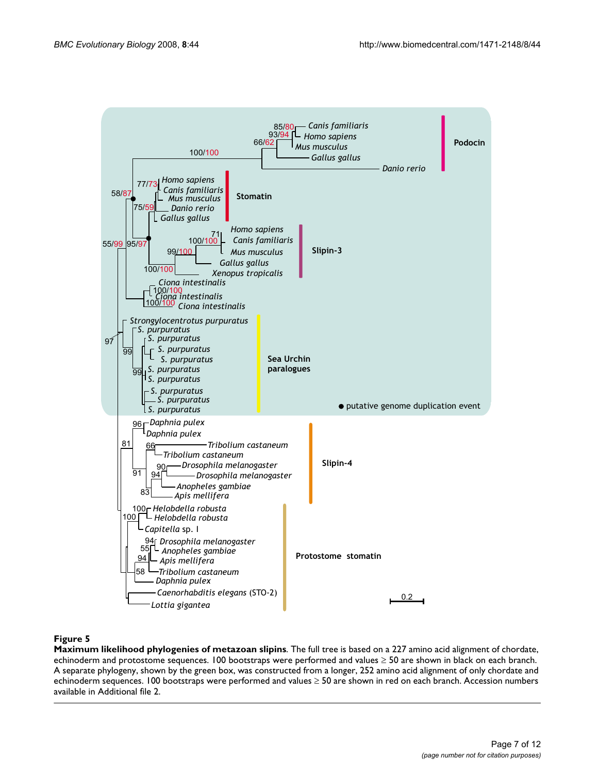

**Maximum likelihood phylogenies of metazoan slipins**. The full tree is based on a 227 amino acid alignment of chordate, echinoderm and protostome sequences. 100 bootstraps were performed and values ≥ 50 are shown in black on each branch. A separate phylogeny, shown by the green box, was constructed from a longer, 252 amino acid alignment of only chordate and echinoderm sequences. 100 bootstraps were performed and values ≥ 50 are shown in red on each branch. Accession numbers available in Additional file 2.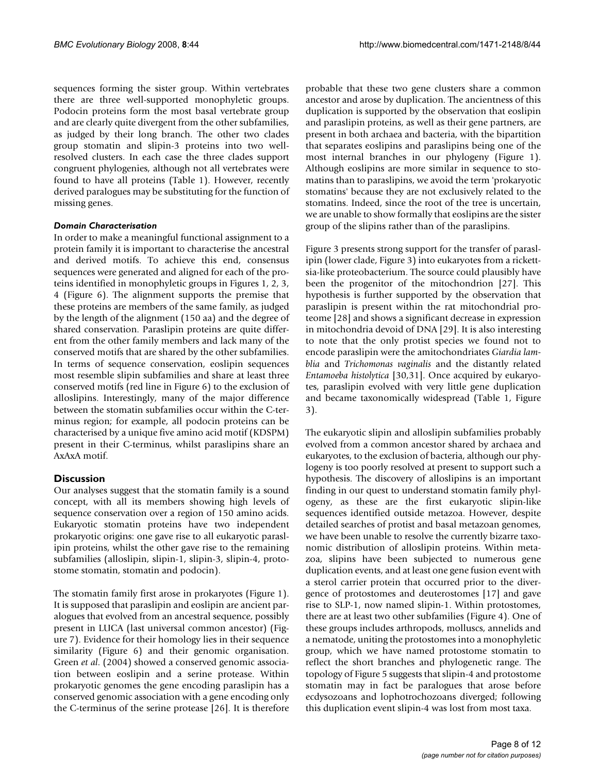sequences forming the sister group. Within vertebrates there are three well-supported monophyletic groups. Podocin proteins form the most basal vertebrate group and are clearly quite divergent from the other subfamilies, as judged by their long branch. The other two clades group stomatin and slipin-3 proteins into two wellresolved clusters. In each case the three clades support congruent phylogenies, although not all vertebrates were found to have all proteins (Table 1). However, recently derived paralogues may be substituting for the function of missing genes.

## *Domain Characterisation*

In order to make a meaningful functional assignment to a protein family it is important to characterise the ancestral and derived motifs. To achieve this end, consensus sequences were generated and aligned for each of the proteins identified in monophyletic groups in Figures 1, 2, 3, 4 (Figure 6). The alignment supports the premise that these proteins are members of the same family, as judged by the length of the alignment (150 aa) and the degree of shared conservation. Paraslipin proteins are quite different from the other family members and lack many of the conserved motifs that are shared by the other subfamilies. In terms of sequence conservation, eoslipin sequences most resemble slipin subfamilies and share at least three conserved motifs (red line in Figure 6) to the exclusion of alloslipins. Interestingly, many of the major difference between the stomatin subfamilies occur within the C-terminus region; for example, all podocin proteins can be characterised by a unique five amino acid motif (KDSPM) present in their C-terminus, whilst paraslipins share an AxAxA motif.

## **Discussion**

Our analyses suggest that the stomatin family is a sound concept, with all its members showing high levels of sequence conservation over a region of 150 amino acids. Eukaryotic stomatin proteins have two independent prokaryotic origins: one gave rise to all eukaryotic paraslipin proteins, whilst the other gave rise to the remaining subfamilies (alloslipin, slipin-1, slipin-3, slipin-4, protostome stomatin, stomatin and podocin).

The stomatin family first arose in prokaryotes (Figure 1). It is supposed that paraslipin and eoslipin are ancient paralogues that evolved from an ancestral sequence, possibly present in LUCA (last universal common ancestor) (Figure 7). Evidence for their homology lies in their sequence similarity (Figure 6) and their genomic organisation. Green *et al*. (2004) showed a conserved genomic association between eoslipin and a serine protease. Within prokaryotic genomes the gene encoding paraslipin has a conserved genomic association with a gene encoding only the C-terminus of the serine protease [26]. It is therefore probable that these two gene clusters share a common ancestor and arose by duplication. The ancientness of this duplication is supported by the observation that eoslipin and paraslipin proteins, as well as their gene partners, are present in both archaea and bacteria, with the bipartition that separates eoslipins and paraslipins being one of the most internal branches in our phylogeny (Figure 1). Although eoslipins are more similar in sequence to stomatins than to paraslipins, we avoid the term 'prokaryotic stomatins' because they are not exclusively related to the stomatins. Indeed, since the root of the tree is uncertain, we are unable to show formally that eoslipins are the sister group of the slipins rather than of the paraslipins.

Figure 3 presents strong support for the transfer of paraslipin (lower clade, Figure 3) into eukaryotes from a rickettsia-like proteobacterium. The source could plausibly have been the progenitor of the mitochondrion [27]. This hypothesis is further supported by the observation that paraslipin is present within the rat mitochondrial proteome [28] and shows a significant decrease in expression in mitochondria devoid of DNA [29]. It is also interesting to note that the only protist species we found not to encode paraslipin were the amitochondriates *Giardia lamblia* and *Trichomonas vaginalis* and the distantly related *Entamoeba histolytica* [30,31]. Once acquired by eukaryotes, paraslipin evolved with very little gene duplication and became taxonomically widespread (Table 1, Figure 3).

The eukaryotic slipin and alloslipin subfamilies probably evolved from a common ancestor shared by archaea and eukaryotes, to the exclusion of bacteria, although our phylogeny is too poorly resolved at present to support such a hypothesis. The discovery of alloslipins is an important finding in our quest to understand stomatin family phylogeny, as these are the first eukaryotic slipin-like sequences identified outside metazoa. However, despite detailed searches of protist and basal metazoan genomes, we have been unable to resolve the currently bizarre taxonomic distribution of alloslipin proteins. Within metazoa, slipins have been subjected to numerous gene duplication events, and at least one gene fusion event with a sterol carrier protein that occurred prior to the divergence of protostomes and deuterostomes [17] and gave rise to SLP-1, now named slipin-1. Within protostomes, there are at least two other subfamilies (Figure 4). One of these groups includes arthropods, molluscs, annelids and a nematode, uniting the protostomes into a monophyletic group, which we have named protostome stomatin to reflect the short branches and phylogenetic range. The topology of Figure 5 suggests that slipin-4 and protostome stomatin may in fact be paralogues that arose before ecdysozoans and lophotrochozoans diverged; following this duplication event slipin-4 was lost from most taxa.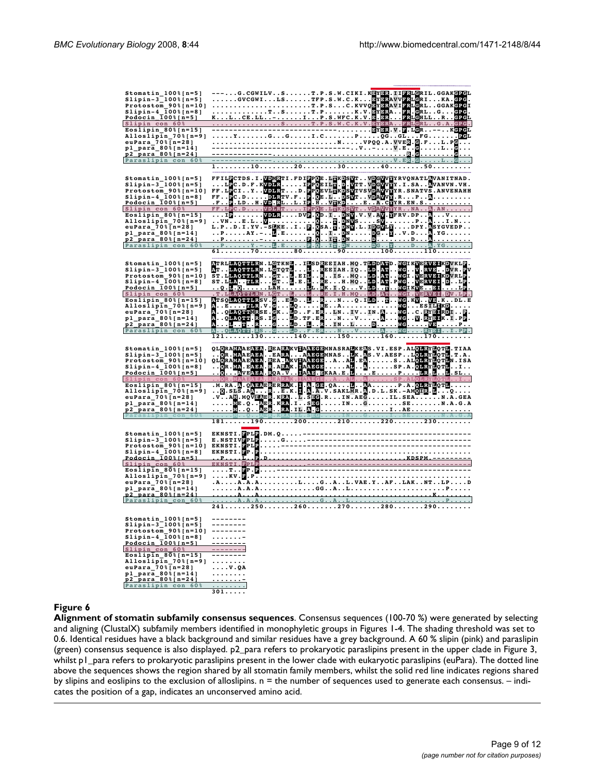| Stomatin_100%[n=5]<br>Slipin-3_100%[n=5]                                         |                                                                                                                                                                                                                                       |
|----------------------------------------------------------------------------------|---------------------------------------------------------------------------------------------------------------------------------------------------------------------------------------------------------------------------------------|
|                                                                                  |                                                                                                                                                                                                                                       |
| Protostom $90$ [n=10]                                                            |                                                                                                                                                                                                                                       |
|                                                                                  |                                                                                                                                                                                                                                       |
| $Slipin-4_100$ { $n=8$ }<br>Podocin 100 } { $n=5$ }                              | FFILECTDS.I.WDMRTI.FDIPPOE.LAKDSWT.VDGWWYRVQNATLAVANITNAD.<br>FF.LECTYWDLRTD.PPOEILA.D.WT.VDGWWYRVQNATLAVANITNAD.<br>FF.LECTYVDLRTD.PPOEULAXDSWTVSVDAWYYR.SNATVS.ANVENAHH<br>FF.LECTYVDLRTD.PPOEULAXDSWTVSVDAWYYR.                    |
| Slipin con 60%                                                                   |                                                                                                                                                                                                                                       |
| Eoslipin $80$ a [n=15]                                                           |                                                                                                                                                                                                                                       |
| Alloslip $\bar{1}n_20$ { $n=9$ }                                                 |                                                                                                                                                                                                                                       |
| euPara_70%[n=28]                                                                 |                                                                                                                                                                                                                                       |
|                                                                                  |                                                                                                                                                                                                                                       |
| $p1$ para 80% [n=14]<br>p2 para 80% [n=24]                                       |                                                                                                                                                                                                                                       |
| Paraslipin con 60%                                                               |                                                                                                                                                                                                                                       |
|                                                                                  | $61.\dots.\dots.70.\dots.\dots.80.\dots.\dots.\dots90\dots\dots.100\dots\dots110\dots$                                                                                                                                                |
|                                                                                  |                                                                                                                                                                                                                                       |
|                                                                                  |                                                                                                                                                                                                                                       |
| Stomatin_100%[n=5]<br>Slipin-3_100%[n=5]                                         |                                                                                                                                                                                                                                       |
|                                                                                  |                                                                                                                                                                                                                                       |
| $\frac{1}{100}$<br>Slipin-4_100%[n=8]                                            |                                                                                                                                                                                                                                       |
|                                                                                  |                                                                                                                                                                                                                                       |
| Podocin 100%[n=5]                                                                |                                                                                                                                                                                                                                       |
| Slipin_con_60%                                                                   |                                                                                                                                                                                                                                       |
| Eoslipin_80%[n=15]                                                               |                                                                                                                                                                                                                                       |
| Alloslipin $70$ $[n=9]$                                                          |                                                                                                                                                                                                                                       |
| euPara_70%[n=28]                                                                 |                                                                                                                                                                                                                                       |
| p1_para_80%[n=14]                                                                | MG. . V. RYBIK.I.PP.                                                                                                                                                                                                                  |
| <u>p2_para_80%[n=24]</u>                                                         | $\tt{M}$ G $\tt{VB}$ P                                                                                                                                                                                                                |
| Paraslipin_con_60%                                                               | NG  RYEI. . I.PP.                                                                                                                                                                                                                     |
|                                                                                  | $121130140150160170$                                                                                                                                                                                                                  |
|                                                                                  |                                                                                                                                                                                                                                       |
|                                                                                  |                                                                                                                                                                                                                                       |
|                                                                                  |                                                                                                                                                                                                                                       |
|                                                                                  |                                                                                                                                                                                                                                       |
| Stomatin_100%[n=5]<br>Slipin-3_100%[n=5]                                         |                                                                                                                                                                                                                                       |
|                                                                                  |                                                                                                                                                                                                                                       |
|                                                                                  |                                                                                                                                                                                                                                       |
| Protostom 90% [n=10]<br>Slipin-4_100% [n=8]<br>Podocin 100% [n=5]                |                                                                                                                                                                                                                                       |
| Slipin_con_60%                                                                   |                                                                                                                                                                                                                                       |
| Eoslipin_80%[n=15]                                                               |                                                                                                                                                                                                                                       |
| Alloslipin $70$ $[n=9]$                                                          |                                                                                                                                                                                                                                       |
| euPara_70% [n=28]                                                                |                                                                                                                                                                                                                                       |
| $p_1$ para $80$ $[n=14]$                                                         |                                                                                                                                                                                                                                       |
| <u>p2_para_80%[n=24]</u>                                                         |                                                                                                                                                                                                                                       |
| Paraslipin con                                                                   |                                                                                                                                                                                                                                       |
|                                                                                  |                                                                                                                                                                                                                                       |
|                                                                                  | QLQRAKMAEABAR (ERALLANSCEMMASRAMKEAS.VI.ESP.ALQTRYMOTH.T.A.<br>CR.MAEABAR, ERALLANSCEMMASMK.MS.V.AESPLQTRYMOTH.T.A.<br>QLQRAKMAEABAR, ERALLANSCEM.AAN.<br>CARACHAEABAR, ERALLANSCEAASALQTRYMOTH.ISA.<br>CR.MA.EABAR, E                |
|                                                                                  |                                                                                                                                                                                                                                       |
| Stomatin_100%[n=5]<br>Slipin-3_100%[n=5]                                         |                                                                                                                                                                                                                                       |
|                                                                                  |                                                                                                                                                                                                                                       |
|                                                                                  |                                                                                                                                                                                                                                       |
| Protostom_90%[n=10]<br>Slipin-4_100%[n=8]<br>Podocin_100%[n=5]                   |                                                                                                                                                                                                                                       |
| Slipin con 60%                                                                   |                                                                                                                                                                                                                                       |
| Eoslipin $8\overline{0}$ % [n=15]                                                |                                                                                                                                                                                                                                       |
|                                                                                  |                                                                                                                                                                                                                                       |
| Alloslipin $70$ % [n=9]<br>euPara $70$ % [n=28]                                  |                                                                                                                                                                                                                                       |
| p1_para_80%[n=14]                                                                |                                                                                                                                                                                                                                       |
| p2 para 80%[n=24]                                                                | <b>EXAMPLE PRODUCED ACCORDINATION</b><br>THE REAL PROPERTY OF PRODUCED AND CONTRACT PRODUCED AND CONTRACT PRODUCED AND CONTRACT PRODUCED AND CONTRACT OF PRODUCED AND CONTRACT OF PRODUCED AND CONTRACT OF PRODUCED AND CONTRACT OF P |
| Paraslipin con 60%                                                               |                                                                                                                                                                                                                                       |
|                                                                                  |                                                                                                                                                                                                                                       |
|                                                                                  |                                                                                                                                                                                                                                       |
| Stomatin_100%[n=5]                                                               |                                                                                                                                                                                                                                       |
| Slipin-3_100%[n=5]                                                               | --------                                                                                                                                                                                                                              |
|                                                                                  |                                                                                                                                                                                                                                       |
| Protostom_90% [n=10] --------                                                    | . -                                                                                                                                                                                                                                   |
| Slipin-4_100%[n=8]<br>Podocin_100%[n=5]                                          | <u>-------</u> -                                                                                                                                                                                                                      |
| Slipin_con_60%                                                                   |                                                                                                                                                                                                                                       |
| Eoslip $\bar{1}n_8\bar{0}$ % [n=15]                                              |                                                                                                                                                                                                                                       |
|                                                                                  |                                                                                                                                                                                                                                       |
| Alloslipin_70%[n=9]                                                              | $\ldots$ $V$ . $QA$                                                                                                                                                                                                                   |
|                                                                                  | .                                                                                                                                                                                                                                     |
|                                                                                  | <u>. -</u>                                                                                                                                                                                                                            |
| euPara_70%[n=28]<br>p1_para_80%[n=14]<br>p2_para_80%[n=24]<br>Paraslipin_con_60% | .<br>301                                                                                                                                                                                                                              |

**Alignment of stomatin subfamily consensus sequences**. Consensus sequences (100-70 %) were generated by selecting and aligning (ClustalX) subfamily members identified in monophyletic groups in Figures 1-4. The shading threshold was set to 0.6. Identical residues have a black background and similar residues have a grey background. A 60 % slipin (pink) and paraslipin (green) consensus sequence is also displayed. p2\_para refers to prokaryotic paraslipins present in the upper clade in Figure 3, whilst p1\_para refers to prokaryotic paraslipins present in the lower clade with eukaryotic paraslipins (euPara). The dotted line above the sequences shows the region shared by all stomatin family members, whilst the solid red line indicates regions shared by slipins and eoslipins to the exclusion of alloslipins. n = the number of sequences used to generate each consensus. – indicates the position of a gap, indicates an unconserved amino acid.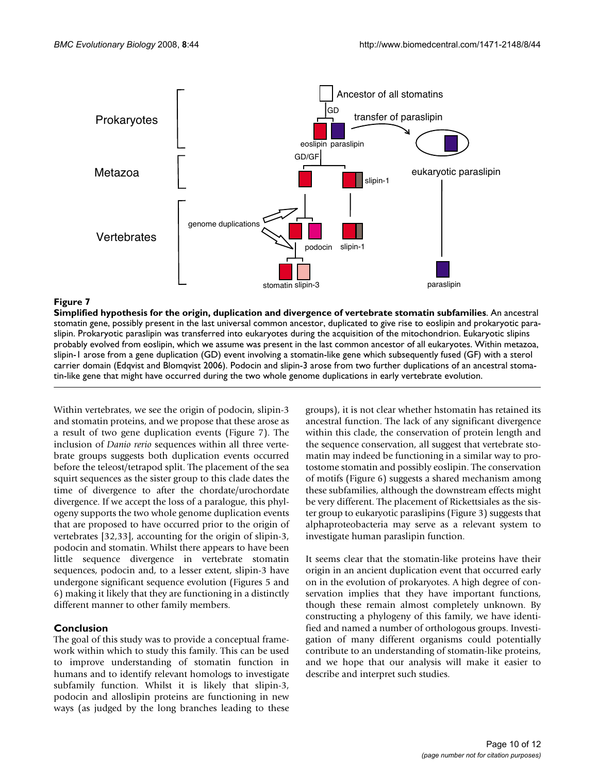

## Simplified hypothesis for the origin, duplication an **Figure 7** d divergence of vertebrate stomatin subfamilies

**Simplified hypothesis for the origin, duplication and divergence of vertebrate stomatin subfamilies**. An ancestral stomatin gene, possibly present in the last universal common ancestor, duplicated to give rise to eoslipin and prokaryotic paraslipin. Prokaryotic paraslipin was transferred into eukaryotes during the acquisition of the mitochondrion. Eukaryotic slipins probably evolved from eoslipin, which we assume was present in the last common ancestor of all eukaryotes. Within metazoa, slipin-1 arose from a gene duplication (GD) event involving a stomatin-like gene which subsequently fused (GF) with a sterol carrier domain (Edqvist and Blomqvist 2006). Podocin and slipin-3 arose from two further duplications of an ancestral stomatin-like gene that might have occurred during the two whole genome duplications in early vertebrate evolution.

Within vertebrates, we see the origin of podocin, slipin-3 and stomatin proteins, and we propose that these arose as a result of two gene duplication events (Figure 7). The inclusion of *Danio rerio* sequences within all three vertebrate groups suggests both duplication events occurred before the teleost/tetrapod split. The placement of the sea squirt sequences as the sister group to this clade dates the time of divergence to after the chordate/urochordate divergence. If we accept the loss of a paralogue, this phylogeny supports the two whole genome duplication events that are proposed to have occurred prior to the origin of vertebrates [32,33], accounting for the origin of slipin-3, podocin and stomatin. Whilst there appears to have been little sequence divergence in vertebrate stomatin sequences, podocin and, to a lesser extent, slipin-3 have undergone significant sequence evolution (Figures 5 and 6) making it likely that they are functioning in a distinctly different manner to other family members.

## **Conclusion**

The goal of this study was to provide a conceptual framework within which to study this family. This can be used to improve understanding of stomatin function in humans and to identify relevant homologs to investigate subfamily function. Whilst it is likely that slipin-3, podocin and alloslipin proteins are functioning in new ways (as judged by the long branches leading to these

groups), it is not clear whether hstomatin has retained its ancestral function. The lack of any significant divergence within this clade, the conservation of protein length and the sequence conservation, all suggest that vertebrate stomatin may indeed be functioning in a similar way to protostome stomatin and possibly eoslipin. The conservation of motifs (Figure 6) suggests a shared mechanism among these subfamilies, although the downstream effects might be very different. The placement of Rickettsiales as the sister group to eukaryotic paraslipins (Figure 3) suggests that alphaproteobacteria may serve as a relevant system to investigate human paraslipin function.

It seems clear that the stomatin-like proteins have their origin in an ancient duplication event that occurred early on in the evolution of prokaryotes. A high degree of conservation implies that they have important functions, though these remain almost completely unknown. By constructing a phylogeny of this family, we have identified and named a number of orthologous groups. Investigation of many different organisms could potentially contribute to an understanding of stomatin-like proteins, and we hope that our analysis will make it easier to describe and interpret such studies.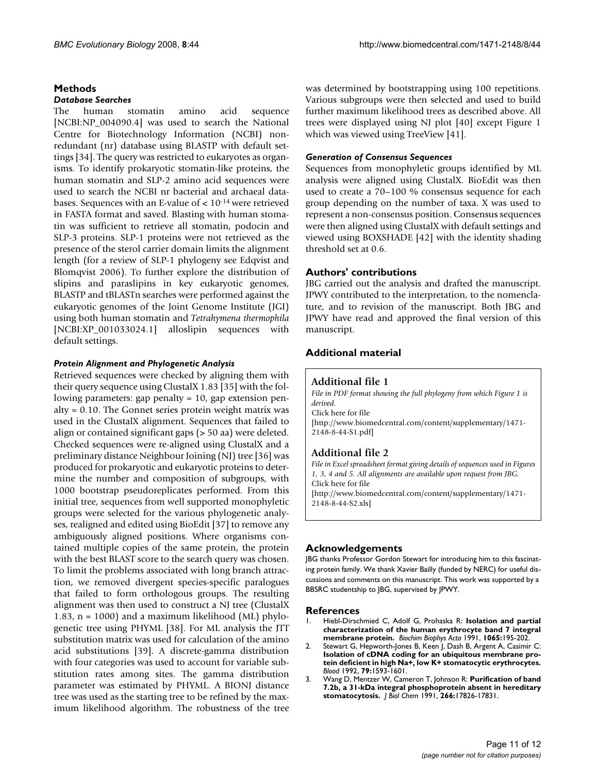## **Methods**

#### *Database Searches*

The human stomatin amino acid sequence [NCBI:NP\_004090.4] was used to search the National Centre for Biotechnology Information (NCBI) nonredundant (nr) database using BLASTP with default settings [34]. The query was restricted to eukaryotes as organisms. To identify prokaryotic stomatin-like proteins, the human stomatin and SLP-2 amino acid sequences were used to search the NCBI nr bacterial and archaeal databases. Sequences with an E-value of < 10-14 were retrieved in FASTA format and saved. Blasting with human stomatin was sufficient to retrieve all stomatin, podocin and SLP-3 proteins. SLP-1 proteins were not retrieved as the presence of the sterol carrier domain limits the alignment length (for a review of SLP-1 phylogeny see Edqvist and Blomqvist 2006). To further explore the distribution of slipins and paraslipins in key eukaryotic genomes, BLASTP and tBLASTn searches were performed against the eukaryotic genomes of the Joint Genome Institute (JGI) using both human stomatin and *Tetrahymena thermophila* [NCBI:XP\_001033024.1] alloslipin sequences with default settings.

#### *Protein Alignment and Phylogenetic Analysis*

Retrieved sequences were checked by aligning them with their query sequence using ClustalX 1.83 [35] with the following parameters: gap penalty = 10, gap extension penalty = 0.10. The Gonnet series protein weight matrix was used in the ClustalX alignment. Sequences that failed to align or contained significant gaps (> 50 aa) were deleted. Checked sequences were re-aligned using ClustalX and a preliminary distance Neighbour Joining (NJ) tree [36] was produced for prokaryotic and eukaryotic proteins to determine the number and composition of subgroups, with 1000 bootstrap pseudoreplicates performed. From this initial tree, sequences from well supported monophyletic groups were selected for the various phylogenetic analyses, realigned and edited using BioEdit [37] to remove any ambiguously aligned positions. Where organisms contained multiple copies of the same protein, the protein with the best BLAST score to the search query was chosen. To limit the problems associated with long branch attraction, we removed divergent species-specific paralogues that failed to form orthologous groups. The resulting alignment was then used to construct a NJ tree (ClustalX 1.83,  $n = 1000$ ) and a maximum likelihood (ML) phylogenetic tree using PHYML [38]. For ML analysis the JTT substitution matrix was used for calculation of the amino acid substitutions [39]. A discrete-gamma distribution with four categories was used to account for variable substitution rates among sites. The gamma distribution parameter was estimated by PHYML. A BIONJ distance tree was used as the starting tree to be refined by the maximum likelihood algorithm. The robustness of the tree was determined by bootstrapping using 100 repetitions. Various subgroups were then selected and used to build further maximum likelihood trees as described above. All trees were displayed using NJ plot [40] except Figure 1 which was viewed using TreeView [41].

## *Generation of Consensus Sequences*

Sequences from monophyletic groups identified by ML analysis were aligned using ClustalX. BioEdit was then used to create a 70–100 % consensus sequence for each group depending on the number of taxa. X was used to represent a non-consensus position. Consensus sequences were then aligned using ClustalX with default settings and viewed using BOXSHADE [42] with the identity shading threshold set at 0.6.

## **Authors' contributions**

JBG carried out the analysis and drafted the manuscript. JPWY contributed to the interpretation, to the nomenclature, and to revision of the manuscript. Both JBG and JPWY have read and approved the final version of this manuscript.

## **Additional material**

## **Additional file 1**

*File in PDF format showing the full phylogeny from which Figure 1 is derived.* Click here for file [\[http://www.biomedcentral.com/content/supplementary/1471-](http://www.biomedcentral.com/content/supplementary/1471-2148-8-44-S1.pdf) 2148-8-44-S1.pdf]

## **Additional file 2**

*File in Excel spreadsheet format giving details of sequences used in Figures 1, 3, 4 and 5. All alignments are available upon request from JBG.* Click here for file [\[http://www.biomedcentral.com/content/supplementary/1471-](http://www.biomedcentral.com/content/supplementary/1471-2148-8-44-S2.xls) 2148-8-44-S2.xls]

#### **Acknowledgements**

JBG thanks Professor Gordon Stewart for introducing him to this fascinating protein family. We thank Xavier Bailly (funded by NERC) for useful discussions and comments on this manuscript. This work was supported by a BBSRC studentship to JBG, supervised by JPWY.

#### **References**

- 1. Hiebl-Dirschmied C, Adolf G, Prohaska R: **[Isolation and partial](http://www.ncbi.nlm.nih.gov/entrez/query.fcgi?cmd=Retrieve&db=PubMed&dopt=Abstract&list_uids=1711899) [characterization of the human erythrocyte band 7 integral](http://www.ncbi.nlm.nih.gov/entrez/query.fcgi?cmd=Retrieve&db=PubMed&dopt=Abstract&list_uids=1711899) [membrane protein.](http://www.ncbi.nlm.nih.gov/entrez/query.fcgi?cmd=Retrieve&db=PubMed&dopt=Abstract&list_uids=1711899)** *Biochim Biophys Acta* 1991, **1065:**195-202.
- 2. Stewart G, Hepworth-Jones B, Keen J, Dash B, Argent A, Casimir C: **[Isolation of cDNA coding for an ubiquitous membrane pro](http://www.ncbi.nlm.nih.gov/entrez/query.fcgi?cmd=Retrieve&db=PubMed&dopt=Abstract&list_uids=1547348)tein deficient in high Na+, low K+ stomatocytic erythrocytes.** *Blood* 1992, **79:**1593-1601.
- 3. Wang D, Mentzer W, Cameron T, Johnson R: **[Purification of band](http://www.ncbi.nlm.nih.gov/entrez/query.fcgi?cmd=Retrieve&db=PubMed&dopt=Abstract&list_uids=1655727) [7.2b, a 31-kDa integral phosphoprotein absent in hereditary](http://www.ncbi.nlm.nih.gov/entrez/query.fcgi?cmd=Retrieve&db=PubMed&dopt=Abstract&list_uids=1655727) [stomatocytosis.](http://www.ncbi.nlm.nih.gov/entrez/query.fcgi?cmd=Retrieve&db=PubMed&dopt=Abstract&list_uids=1655727)** *J Biol Chem* 1991, **266:**17826-17831.